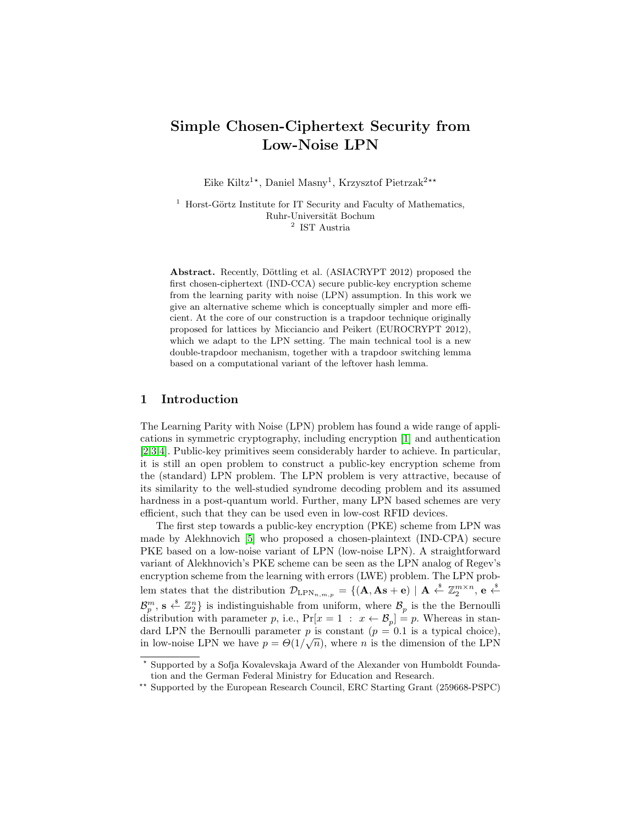# <span id="page-0-0"></span>Simple Chosen-Ciphertext Security from Low-Noise LPN

Eike Kiltz<sup>1\*</sup>, Daniel Masny<sup>1</sup>, Krzysztof Pietrzak<sup>2\*\*</sup>

 $^{\rm 1}$  Horst-Görtz Institute for IT Security and Faculty of Mathematics, Ruhr-Universität Bochum 2 IST Austria

Abstract. Recently, Döttling et al. (ASIACRYPT 2012) proposed the first chosen-ciphertext (IND-CCA) secure public-key encryption scheme from the learning parity with noise (LPN) assumption. In this work we give an alternative scheme which is conceptually simpler and more efficient. At the core of our construction is a trapdoor technique originally proposed for lattices by Micciancio and Peikert (EUROCRYPT 2012), which we adapt to the LPN setting. The main technical tool is a new double-trapdoor mechanism, together with a trapdoor switching lemma based on a computational variant of the leftover hash lemma.

# 1 Introduction

The Learning Parity with Noise (LPN) problem has found a wide range of applications in symmetric cryptography, including encryption [\[1\]](#page-14-0) and authentication [\[2,](#page-14-1)[3](#page-14-2)[,4\]](#page-14-3). Public-key primitives seem considerably harder to achieve. In particular, it is still an open problem to construct a public-key encryption scheme from the (standard) LPN problem. The LPN problem is very attractive, because of its similarity to the well-studied syndrome decoding problem and its assumed hardness in a post-quantum world. Further, many LPN based schemes are very efficient, such that they can be used even in low-cost RFID devices.

The first step towards a public-key encryption (PKE) scheme from LPN was made by Alekhnovich [\[5\]](#page-14-4) who proposed a chosen-plaintext (IND-CPA) secure PKE based on a low-noise variant of LPN (low-noise LPN). A straightforward variant of Alekhnovich's PKE scheme can be seen as the LPN analog of Regev's encryption scheme from the learning with errors (LWE) problem. The LPN problem states that the distribution  $\mathcal{D}_{\text{LPN}_{n,m,p}} = \{(\mathbf{A}, \mathbf{A}\mathbf{s} + \mathbf{e}) \mid \mathbf{A} \stackrel{\hspace{0.1em}s}{\leftarrow} \mathbb{Z}_{2}^{m \times n}, \mathbf{e} \stackrel{\hspace{0.1em}s}{\leftarrow}$  $\mathcal{B}_{p}^{m}$ ,  $s \leftarrow \mathbb{Z}_{2}^{n}$  is indistinguishable from uniform, where  $\mathcal{B}_{p}$  is the the Bernoulli distribution with parameter p, i.e.,  $Pr[x = 1 : x \leftarrow \mathcal{B}_p] = p$ . Whereas in standard LPN the Bernoulli parameter p is constant  $(p = 0.1$  is a typical choice), in low-noise LPN we have  $p = \Theta(1/\sqrt{n})$ , where *n* is the dimension of the LPN

<sup>?</sup> Supported by a Sofja Kovalevskaja Award of the Alexander von Humboldt Foundation and the German Federal Ministry for Education and Research.

<sup>\*\*</sup> Supported by the European Research Council, ERC Starting Grant (259668-PSPC)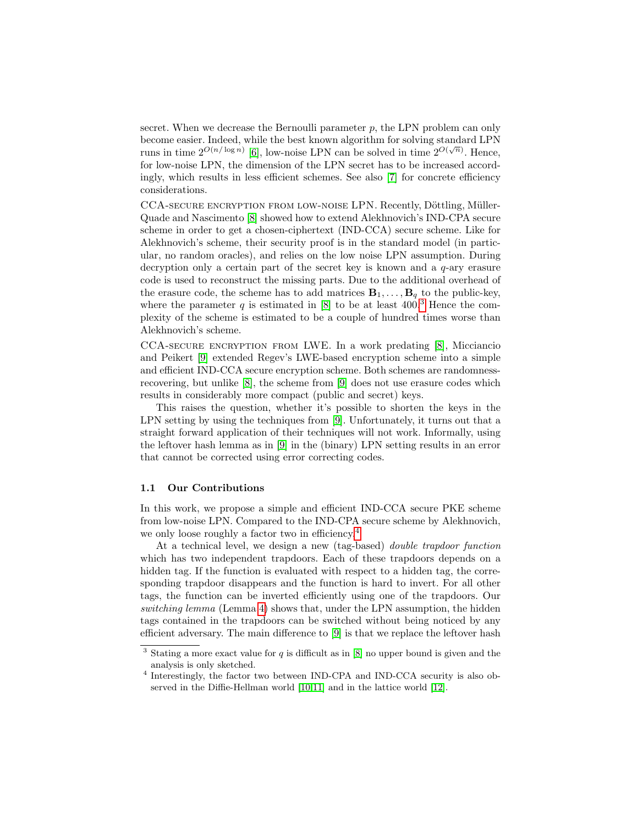<span id="page-1-2"></span>secret. When we decrease the Bernoulli parameter  $p$ , the LPN problem can only become easier. Indeed, while the best known algorithm for solving standard LPN runs in time  $2^{O(n/\log n)}$  [\[6\]](#page-14-5), low-noise LPN can be solved in time  $2^{O(\sqrt{n})}$ . Hence, for low-noise LPN, the dimension of the LPN secret has to be increased accordingly, which results in less efficient schemes. See also [\[7\]](#page-14-6) for concrete efficiency considerations.

CCA-SECURE ENCRYPTION FROM LOW-NOISE LPN. Recently, Döttling, Müller-Quade and Nascimento [\[8\]](#page-14-7) showed how to extend Alekhnovich's IND-CPA secure scheme in order to get a chosen-ciphertext (IND-CCA) secure scheme. Like for Alekhnovich's scheme, their security proof is in the standard model (in particular, no random oracles), and relies on the low noise LPN assumption. During decryption only a certain part of the secret key is known and a q-ary erasure code is used to reconstruct the missing parts. Due to the additional overhead of the erasure code, the scheme has to add matrices  $\mathbf{B}_1, \ldots, \mathbf{B}_q$  to the public-key, where the parameter q is estimated in  $[8]$  to be at least 400.<sup>[3](#page-1-0)</sup> Hence the complexity of the scheme is estimated to be a couple of hundred times worse than Alekhnovich's scheme.

CCA-secure encryption from LWE. In a work predating [\[8\]](#page-14-7), Micciancio and Peikert [\[9\]](#page-14-8) extended Regev's LWE-based encryption scheme into a simple and efficient IND-CCA secure encryption scheme. Both schemes are randomnessrecovering, but unlike [\[8\]](#page-14-7), the scheme from [\[9\]](#page-14-8) does not use erasure codes which results in considerably more compact (public and secret) keys.

This raises the question, whether it's possible to shorten the keys in the LPN setting by using the techniques from [\[9\]](#page-14-8). Unfortunately, it turns out that a straight forward application of their techniques will not work. Informally, using the leftover hash lemma as in [\[9\]](#page-14-8) in the (binary) LPN setting results in an error that cannot be corrected using error correcting codes.

## 1.1 Our Contributions

In this work, we propose a simple and efficient IND-CCA secure PKE scheme from low-noise LPN. Compared to the IND-CPA secure scheme by Alekhnovich, we only loose roughly a factor two in efficiency.<sup>[4](#page-1-1)</sup>

At a technical level, we design a new (tag-based) double trapdoor function which has two independent trapdoors. Each of these trapdoors depends on a hidden tag. If the function is evaluated with respect to a hidden tag, the corresponding trapdoor disappears and the function is hard to invert. For all other tags, the function can be inverted efficiently using one of the trapdoors. Our switching lemma (Lemma [4\)](#page-6-0) shows that, under the LPN assumption, the hidden tags contained in the trapdoors can be switched without being noticed by any efficient adversary. The main difference to [\[9\]](#page-14-8) is that we replace the leftover hash

<span id="page-1-0"></span> $\frac{3}{3}$  Stating a more exact value for q is difficult as in [\[8\]](#page-14-7) no upper bound is given and the analysis is only sketched.

<span id="page-1-1"></span><sup>&</sup>lt;sup>4</sup> Interestingly, the factor two between IND-CPA and IND-CCA security is also observed in the Diffie-Hellman world [\[10,](#page-15-0)[11\]](#page-15-1) and in the lattice world [\[12\]](#page-15-2).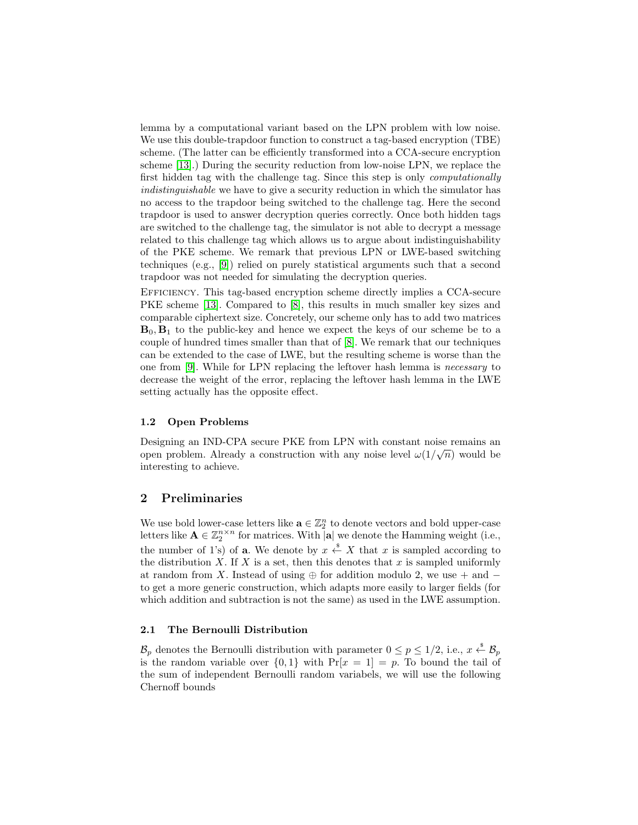<span id="page-2-0"></span>lemma by a computational variant based on the LPN problem with low noise. We use this double-trapdoor function to construct a tag-based encryption (TBE) scheme. (The latter can be efficiently transformed into a CCA-secure encryption scheme [\[13\]](#page-15-3).) During the security reduction from low-noise LPN, we replace the first hidden tag with the challenge tag. Since this step is only computationally indistinguishable we have to give a security reduction in which the simulator has no access to the trapdoor being switched to the challenge tag. Here the second trapdoor is used to answer decryption queries correctly. Once both hidden tags are switched to the challenge tag, the simulator is not able to decrypt a message related to this challenge tag which allows us to argue about indistinguishability of the PKE scheme. We remark that previous LPN or LWE-based switching techniques (e.g., [\[9\]](#page-14-8)) relied on purely statistical arguments such that a second trapdoor was not needed for simulating the decryption queries.

Efficiency. This tag-based encryption scheme directly implies a CCA-secure PKE scheme [\[13\]](#page-15-3). Compared to [\[8\]](#page-14-7), this results in much smaller key sizes and comparable ciphertext size. Concretely, our scheme only has to add two matrices  $\mathbf{B}_0$ ,  $\mathbf{B}_1$  to the public-key and hence we expect the keys of our scheme be to a couple of hundred times smaller than that of [\[8\]](#page-14-7). We remark that our techniques can be extended to the case of LWE, but the resulting scheme is worse than the one from [\[9\]](#page-14-8). While for LPN replacing the leftover hash lemma is necessary to decrease the weight of the error, replacing the leftover hash lemma in the LWE setting actually has the opposite effect.

## 1.2 Open Problems

Designing an IND-CPA secure PKE from LPN with constant noise remains and property of the main secure PKE from LPN with constant noise remains and property of the main secure PKE from LPN with constant noise remains and pr open problem. Already a construction with any noise level  $\omega(1/\sqrt{n})$  would be interesting to achieve.

# 2 Preliminaries

We use bold lower-case letters like  $\mathbf{a} \in \mathbb{Z}_2^n$  to denote vectors and bold upper-case letters like  $\mathbf{A} \in \mathbb{Z}_2^{n \times n}$  for matrices. With  $|\mathbf{a}|$  we denote the Hamming weight (i.e., the number of 1's) of **a**. We denote by  $x \stackrel{\$}{\leftarrow} X$  that x is sampled according to the distribution  $X$ . If  $X$  is a set, then this denotes that  $x$  is sampled uniformly at random from X. Instead of using  $\oplus$  for addition modulo 2, we use + and − to get a more generic construction, which adapts more easily to larger fields (for which addition and subtraction is not the same) as used in the LWE assumption.

## 2.1 The Bernoulli Distribution

 $\mathcal{B}_p$  denotes the Bernoulli distribution with parameter  $0 \leq p \leq 1/2$ , i.e.,  $x \stackrel{\hspace{0.1em}\mathsf{\scriptscriptstyle\$}}{\leftarrow} \mathcal{B}_p$ is the random variable over  $\{0,1\}$  with  $Pr[x = 1] = p$ . To bound the tail of the sum of independent Bernoulli random variabels, we will use the following Chernoff bounds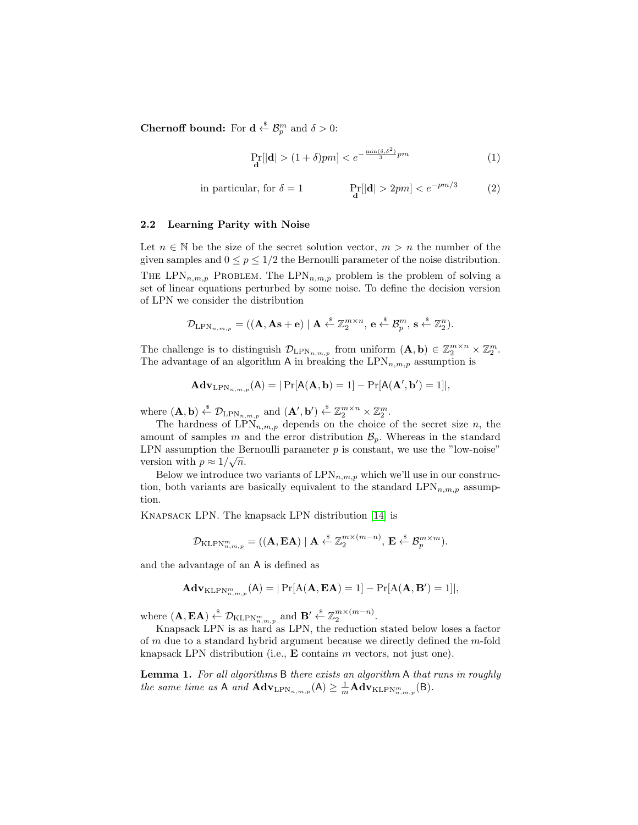<span id="page-3-3"></span>**Chernoff bound:** For  $\mathbf{d} \leftarrow^{\$} \mathcal{B}_{p}^{m}$  and  $\delta > 0$ :

<span id="page-3-2"></span>
$$
\Pr_{\mathbf{d}}[|\mathbf{d}| > (1+\delta)pm] < e^{-\frac{\min(\delta,\delta^2)}{3}pm}
$$
\n(1)

<span id="page-3-1"></span>in particular, for 
$$
\delta = 1
$$
  $\Pr_{\mathbf{d}}[|\mathbf{d}| > 2pm] < e^{-pm/3}$  (2)

### 2.2 Learning Parity with Noise

Let  $n \in \mathbb{N}$  be the size of the secret solution vector,  $m > n$  the number of the given samples and  $0 \le p \le 1/2$  the Bernoulli parameter of the noise distribution. THE LPN<sub>n,m,p</sub> PROBLEM. The LPN<sub>n,m,p</sub> problem is the problem of solving a set of linear equations perturbed by some noise. To define the decision version of LPN we consider the distribution

$$
\mathcal{D}_{\text{LPN}_{n,m,p}} = ((\mathbf{A}, \mathbf{A}\mathbf{s} + \mathbf{e}) \mid \mathbf{A} \overset{\hspace{0.1em}\mathsf{\scriptscriptstyle\$}}{\leftarrow} \mathbb{Z}_2^{m \times n}, \mathbf{e} \overset{\hspace{0.1em}\mathsf{\scriptscriptstyle\$}}{\leftarrow} \mathcal{B}_p^m, \mathbf{s} \overset{\hspace{0.1em}\mathsf{\scriptscriptstyle\$}}{\leftarrow} \mathbb{Z}_2^n).
$$

The challenge is to distinguish  $\mathcal{D}_{\text{LPN}_{n,m,p}}$  from uniform  $(\mathbf{A}, \mathbf{b}) \in \mathbb{Z}_2^{m \times n} \times \mathbb{Z}_2^m$ . The advantage of an algorithm A in breaking the  $\text{LPN}_{n,m,p}$  assumption is

$$
\mathbf{Adv}_{\mathrm{LPN}_{n,m,p}}(\mathsf{A}) = |\Pr[\mathsf{A}(\mathbf{A}, \mathbf{b}) = 1] - \Pr[\mathsf{A}(\mathbf{A}', \mathbf{b}') = 1]|,
$$

where  $(\mathbf{A}, \mathbf{b}) \stackrel{\hspace{0.1em}\mathsf{\scriptscriptstyle\$}}{\leftarrow} \mathcal{D}_{\mathrm{LPN}_{n,m,p}}$  and  $(\mathbf{A}', \mathbf{b}') \stackrel{\hspace{0.1em}\mathsf{\scriptscriptstyle\$}}{\leftarrow} \mathbb{Z}_2^{m \times n} \times \mathbb{Z}_2^m$ .

The hardness of  $LPN_{n,m,p}$  depends on the choice of the secret size n, the amount of samples m and the error distribution  $\mathcal{B}_p$ . Whereas in the standard LPN assumption the Bernoulli parameter  $p$  is constant, we use the "low-noise" version with  $p \approx 1/\sqrt{n}$ .

Below we introduce two variants of  $\text{LPN}_{n,m,p}$  which we'll use in our construction, both variants are basically equivalent to the standard  $LPN_{n,m,p}$  assumption.

Knapsack LPN. The knapsack LPN distribution [\[14\]](#page-15-4) is

$$
\mathcal{D}_{\text{KLPN}^m_{n,m,p}} = ((\mathbf{A}, \mathbf{E} \mathbf{A}) \mid \mathbf{A} \overset{\hspace{0.1em}\mathsf{\scriptscriptstyle\$}}{\leftarrow} \mathbb{Z}_2^{m \times (m-n)}, \, \mathbf{E} \overset{\hspace{0.1em}\mathsf{\scriptscriptstyle\$}}{\leftarrow} \mathcal{B}_p^{m \times m}).
$$

and the advantage of an A is defined as

<span id="page-3-0"></span>
$$
\mathbf{Adv}_{\mathrm{KLPN}_{n,m,p}^m}(\mathsf{A}) = |\Pr[\mathrm{A}(\mathbf{A}, \mathbf{EA}) = 1] - \Pr[\mathrm{A}(\mathbf{A}, \mathbf{B}') = 1]|,
$$

where  $(A, EA) \xleftarrow{\$} \mathcal{D}_{KLPN_{n,m,p}^m}$  and  $B' \xleftarrow{\$} \mathbb{Z}_2^{m \times (m-n)}$ .

Knapsack LPN is as hard as LPN, the reduction stated below loses a factor of  $m$  due to a standard hybrid argument because we directly defined the  $m$ -fold knapsack LPN distribution (i.e.,  $E$  contains  $m$  vectors, not just one).

Lemma 1. For all algorithms B there exists an algorithm A that runs in roughly the same time as A and  $\mathbf{Adv}_{\text{LPN}_{n,m,p}}(\mathsf{A}) \geq \frac{1}{m} \mathbf{Adv}_{\text{KLPN}_{n,m,p}}(\mathsf{B}).$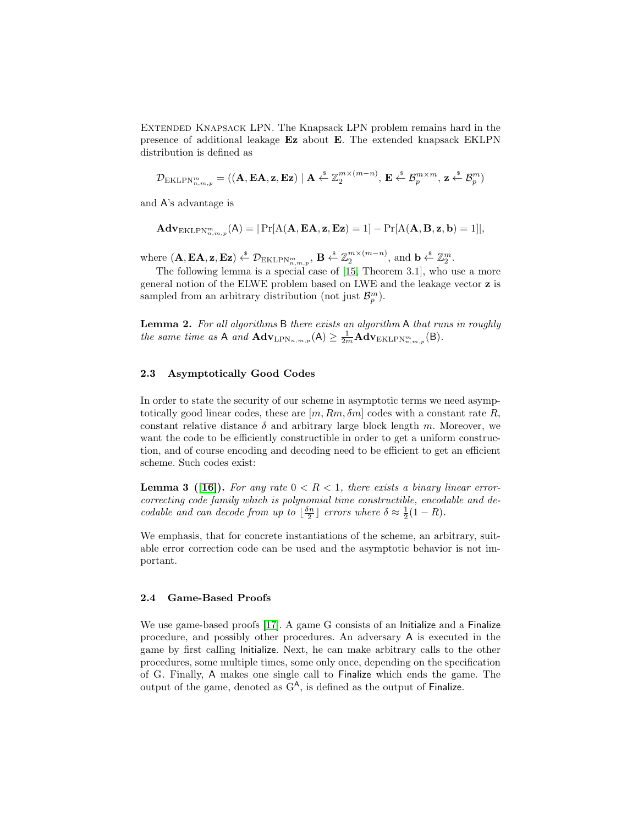<span id="page-4-1"></span>Extended Knapsack LPN. The Knapsack LPN problem remains hard in the presence of additional leakage Ez about E. The extended knapsack EKLPN distribution is defined as

$$
\mathcal{D}_{\mathrm{EKLPN}^m_{n,m,p}}=((\mathbf{A}, \mathbf{E}\mathbf{A}, \mathbf{z}, \mathbf{E}\mathbf{z})\mid \mathbf{A} \overset{\hspace{0.1em}\mathsf{\scriptscriptstyle\$}}{\leftarrow} \mathbb{Z}_2^{m\times (m-n)}, \, \mathbf{E} \overset{\hspace{0.1em}\mathsf{\scriptscriptstyle\$}}{\leftarrow} \mathcal{B}_p^{m\times m}, \, \mathbf{z} \overset{\hspace{0.1em}\mathsf{\scriptscriptstyle\$}}{\leftarrow} \mathcal{B}_p^m)
$$

and A's advantage is

$$
\mathbf{Adv}_{\mathrm{EKLPN}^m_{n,m,p}}(\mathsf{A}) = |\Pr[\mathrm{A}(\mathbf{A}, \mathbf{EA}, \mathbf{z}, \mathbf{Ez}) = 1] - \Pr[\mathrm{A}(\mathbf{A}, \mathbf{B}, \mathbf{z}, \mathbf{b}) = 1]|,
$$

where  $(A, EA, z, Ez) \xleftarrow{\$} \mathcal{D}_{\text{EKLPN}_{n,m,p}^m}, \ \mathbf{B} \xleftarrow{\$} \mathbb{Z}_2^{m \times (m-n)}, \ \text{and} \ \mathbf{b} \xleftarrow{\$} \mathbb{Z}_2^m.$ 

The following lemma is a special case of [\[15,](#page-15-5) Theorem 3.1], who use a more general notion of the ELWE problem based on LWE and the leakage vector z is sampled from an arbitrary distribution (not just  $\mathcal{B}_p^m$ ).

<span id="page-4-0"></span>Lemma 2. For all algorithms B there exists an algorithm A that runs in roughly the same time as A and  $\mathbf{Adv}_{\text{LPN}_{n,m,p}}(\mathsf{A}) \geq \frac{1}{2m}\mathbf{Adv}_{\text{EKLPN}_{n,m,p}^m}(\mathsf{B}).$ 

## 2.3 Asymptotically Good Codes

In order to state the security of our scheme in asymptotic terms we need asymptotically good linear codes, these are  $[m, Rm, \delta m]$  codes with a constant rate R, constant relative distance  $\delta$  and arbitrary large block length m. Moreover, we want the code to be efficiently constructible in order to get a uniform construction, and of course encoding and decoding need to be efficient to get an efficient scheme. Such codes exist:

**Lemma 3** ([\[16\]](#page-15-6)). For any rate  $0 < R < 1$ , there exists a binary linear errorcorrecting code family which is polynomial time constructible, encodable and decodable and can decode from up to  $\lfloor \frac{\delta n}{2} \rfloor$  errors where  $\delta \approx \frac{1}{2}(1 - R)$ .

We emphasis, that for concrete instantiations of the scheme, an arbitrary, suitable error correction code can be used and the asymptotic behavior is not important.

#### 2.4 Game-Based Proofs

We use game-based proofs [\[17\]](#page-15-7). A game G consists of an Initialize and a Finalize procedure, and possibly other procedures. An adversary A is executed in the game by first calling Initialize. Next, he can make arbitrary calls to the other procedures, some multiple times, some only once, depending on the specification of G. Finally, A makes one single call to Finalize which ends the game. The output of the game, denoted as  $G^A$ , is defined as the output of Finalize.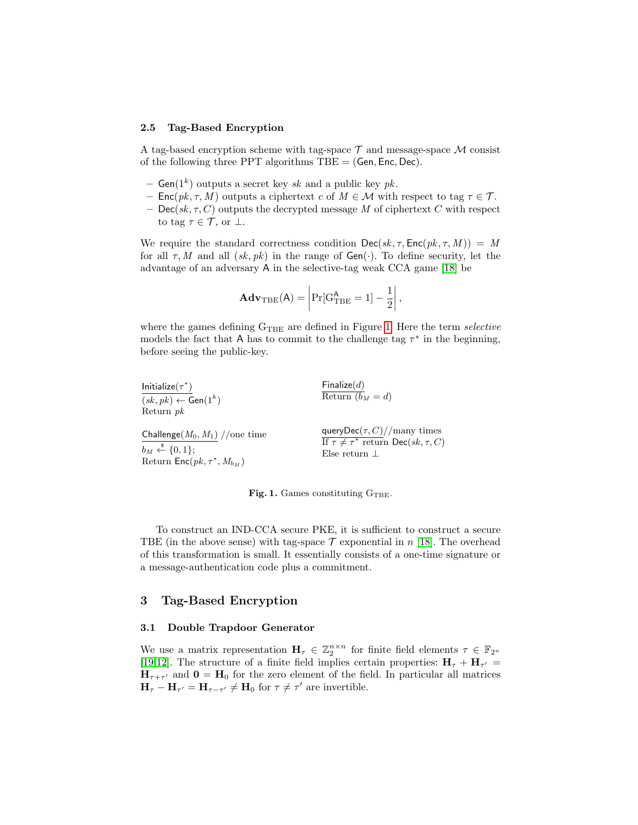#### <span id="page-5-2"></span>2.5 Tag-Based Encryption

A tag-based encryption scheme with tag-space  $\mathcal T$  and message-space  $\mathcal M$  consist of the following three PPT algorithms  $TBE = (Gen, Enc, Dec).$ 

- Gen( $1^k$ ) outputs a secret key sk and a public key pk.
- Enc(pk,  $\tau$ , M) outputs a ciphertext c of  $M \in \mathcal{M}$  with respect to tag  $\tau \in \mathcal{T}$ .
- Dec(sk,  $\tau$ , C) outputs the decrypted message M of ciphertext C with respect to tag  $\tau \in \mathcal{T}$ , or  $\bot$ .

We require the standard correctness condition  $Dec(sk, \tau, Enc(pk, \tau, M)) = M$ for all  $\tau$ , M and all  $(sk, pk)$  in the range of  $Gen(\cdot)$ . To define security, let the advantage of an adversary A in the selective-tag weak CCA game [\[18\]](#page-15-8) be

$$
\mathbf{Adv}_{\mathrm{TBE}}(\mathsf{A}) = \left| \mathrm{Pr}[\mathrm{G}_{\mathrm{TBE}}^{\mathsf{A}} = 1] - \frac{1}{2} \right|,
$$

where the games defining  $G_{\rm TBE}$  are defined in Figure [1.](#page-5-0) Here the term selective models the fact that A has to commit to the challenge tag  $\tau^*$  in the beginning, before seeing the public-key.

| Initialize $(\tau^*)$                                                                                              | Finalize $(d)$                                                                                               |
|--------------------------------------------------------------------------------------------------------------------|--------------------------------------------------------------------------------------------------------------|
| $(sk, pk) \leftarrow$ Gen $(1^k)$                                                                                  | Return $(b_M = d)$                                                                                           |
| Return $pk$                                                                                                        |                                                                                                              |
| Challenge( $M_0, M_1$ ) //one time<br>$b_M \xleftarrow{\$} \{0,1\};$<br>Return $\mathsf{Enc}(pk, \tau^*, M_{b_M})$ | queryDec $(\tau, C)/$ /many times<br>If $\tau \neq \tau^*$ return Dec(sk, $\tau$ , C)<br>Else return $\perp$ |

<span id="page-5-0"></span>

To construct an IND-CCA secure PKE, it is sufficient to construct a secure TBE (in the above sense) with tag-space  $\mathcal T$  exponential in n [\[18\]](#page-15-8). The overhead of this transformation is small. It essentially consists of a one-time signature or a message-authentication code plus a commitment.

# 3 Tag-Based Encryption

#### <span id="page-5-1"></span>3.1 Double Trapdoor Generator

We use a matrix representation  $\mathbf{H}_{\tau} \in \mathbb{Z}_{2}^{n \times n}$  for finite field elements  $\tau \in \mathbb{F}_{2^n}$ [\[19](#page-15-9)[,12\]](#page-15-2). The structure of a finite field implies certain properties:  $H_{\tau} + H_{\tau'} =$  $H_{\tau+\tau'}$  and  $0 = H_0$  for the zero element of the field. In particular all matrices  $H_{\tau} - H_{\tau'} = H_{\tau - \tau'} \neq H_0$  for  $\tau \neq \tau'$  are invertible.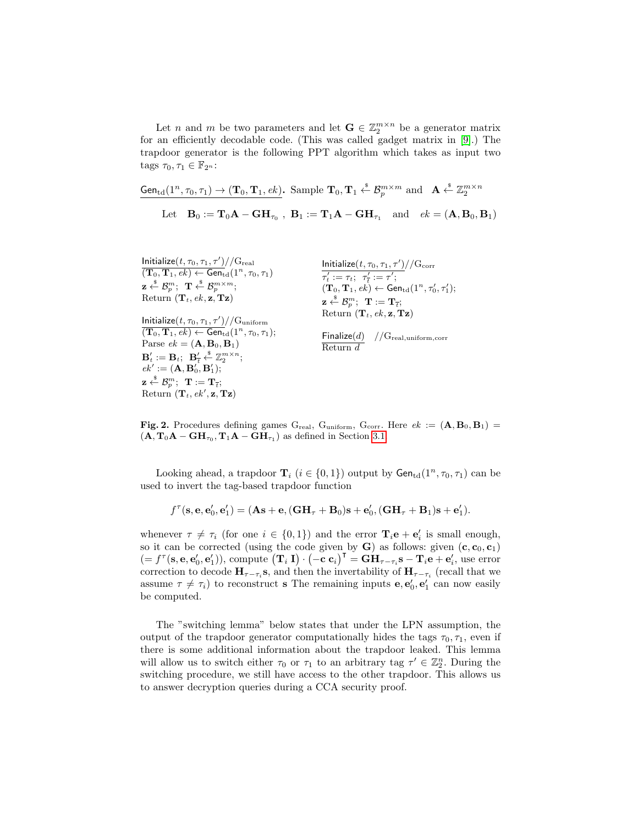<span id="page-6-2"></span>Let *n* and *m* be two parameters and let  $\mathbf{G} \in \mathbb{Z}_2^{m \times n}$  be a generator matrix for an efficiently decodable code. (This was called gadget matrix in [\[9\]](#page-14-8).) The trapdoor generator is the following PPT algorithm which takes as input two tags  $\tau_0, \tau_1 \in \mathbb{F}_{2^n}$ :

Gen<sub>td</sub>
$$
(1^n, \tau_0, \tau_1) \rightarrow (\mathbf{T}_0, \mathbf{T}_1, ek)
$$
. Sample  $\mathbf{T}_0, \mathbf{T}_1 \stackrel{\hspace{0.1em}\mathsf{\scriptscriptstyle\$}}{\leftarrow} \mathcal{B}_p^{m \times m}$  and  $\mathbf{A} \stackrel{\hspace{0.1em}\mathsf{\scriptscriptstyle\$}}{\leftarrow} \mathbb{Z}_2^{m \times n}$   
Let  $\mathbf{B}_0 := \mathbf{T}_0 \mathbf{A} - \mathbf{G} \mathbf{H}_{\tau_0}$ ,  $\mathbf{B}_1 := \mathbf{T}_1 \mathbf{A} - \mathbf{G} \mathbf{H}_{\tau_1}$  and  $ek = (\mathbf{A}, \mathbf{B}_0, \mathbf{B}_1)$ 

Initialize $(t,\tau_0,\tau_1,\tau')//\mathrm{G}_\mathrm{real}$  $\overline{({\bf T}_0,{\bf T}_1,\textit{ek})\leftarrow \mathsf{Gen}_{\rm td}(1^n,\tau_0,\tau_1)}$  $\mathbf{z} \overset{\hspace{0.1em}\mathsf{\scriptscriptstyle\$}}{\leftarrow} \mathcal{B}_{p}^{m}; \ \ \mathbf{T} \overset{\hspace{0.1em}\mathsf{\scriptscriptstyle\$}}{\leftarrow} \mathcal{B}_{p}^{m \times m};$ Return  $(\mathbf{T}_t, ek, \mathbf{z}, \mathbf{Tz})$ Initialize $(t,\tau_0,\tau_1,\tau')//\mathrm{G}_\mathrm{uniform}$  $(\mathbf{T}_0, \mathbf{T}_1, \textit{ek}) \leftarrow \mathsf{Gen}_{\mathrm{td}}(1^n, \tau_0, \tau_1);$ Parse  $ek = (\mathbf{A}, \mathbf{B}_0, \mathbf{B}_1)$  $\mathbf{B}'_t := \mathbf{B}_t; \ \ \mathbf{B}'_{\overline{t}} \stackrel{\$}{\leftarrow} \mathbb{Z}_2^{m \times n};$  $ek' := (\mathbf{A}, \mathbf{B}'_0, \mathbf{B}'_1);$  $\mathbf{z} \overset{\hspace{0.1em}\mathsf{\scriptscriptstyle\$}}{\leftarrow} \mathcal{B}_{p}^{m}; \ \ \mathbf{T} := \mathbf{T}_{\overline{t}};\ \ \ \ % \mathbf{z} := \mathbf{z}$ Return  $(\mathbf{T}_t, ek', \mathbf{z}, \mathbf{Tz})$ 

Initialize $(t,\tau_0,\tau_1,\tau')//\mathrm{G}_{\mathrm{corr}}$  $\tau'_t := \tau_t; \ \ \tau'_{\overline{t}} := \tau';$  $(\mathbf{T}_0, \mathbf{T}_1,$   $e\overline{k}) \leftarrow \mathsf{Gen}_{\mathrm{td}}(1^n, \tau_0', \tau_1');$  $\mathbf{z} \overset{\hspace{0.1em}\mathsf{\scriptscriptstyle\$}}{\leftarrow} \mathcal{B}_{p}^{m}; \ \ \mathbf{T} := \mathbf{T}_{\overline{t}};\ \ \ \ % \mathbf{z} := \mathbf{z}$ Return  $(\mathbf{T}_t, ek, \mathbf{z}, \mathbf{Tz})$ 

 $\mathsf{Finalize}(d)$  // $\mathrm{G_{real, uniform,corr}}$  $R$ eturn  $d$ 

<span id="page-6-1"></span>Fig. 2. Procedures defining games G<sub>real</sub>, G<sub>uniform</sub>, G<sub>corr</sub>. Here  $ek := (\mathbf{A}, \mathbf{B}_0, \mathbf{B}_1)$  =  $(A, T_0A - GH_{\tau_0}, T_1A - GH_{\tau_1})$  as defined in Section [3.1.](#page-5-1)

Looking ahead, a trapdoor  $\mathbf{T}_i$   $(i \in \{0,1\})$  output by  $\mathsf{Gen}_{td}(1^n, \tau_0, \tau_1)$  can be used to invert the tag-based trapdoor function

$$
f^{\tau}(\mathbf{s},\mathbf{e},\mathbf{e}'_0,\mathbf{e}'_1)=(\mathbf{As}+\mathbf{e},(\mathbf{G}\mathbf{H}_{\tau}+\mathbf{B}_0)\mathbf{s}+\mathbf{e}'_0,(\mathbf{G}\mathbf{H}_{\tau}+\mathbf{B}_1)\mathbf{s}+\mathbf{e}'_1).
$$

whenever  $\tau \neq \tau_i$  (for one  $i \in \{0,1\}$ ) and the error  $\mathbf{T}_i \mathbf{e} + \mathbf{e}'_i$  is small enough, so it can be corrected (using the code given by  $G$ ) as follows: given  $(c, c_0, c_1)$  $($  = f<sup> $\tau$ </sup>(s, e, e'<sub>0</sub>, e'<sub>1</sub>)), compute  $(T_i I) \cdot (-c c_i)^T = GH_{\tau-\tau_i} s - T_i e + e'_i$ , use error correction to decode  $\mathbf{H}_{\tau-\tau_i}$ s, and then the invertability of  $\mathbf{H}_{\tau-\tau_i}$  (recall that we assume  $\tau \neq \tau_i$ ) to reconstruct **s** The remaining inputs **e**, **e**'<sub>0</sub>, **e**'<sub>1</sub> can now easily be computed.

<span id="page-6-0"></span>The "switching lemma" below states that under the LPN assumption, the output of the trapdoor generator computationally hides the tags  $\tau_0$ ,  $\tau_1$ , even if there is some additional information about the trapdoor leaked. This lemma will allow us to switch either  $\tau_0$  or  $\tau_1$  to an arbitrary tag  $\tau' \in \mathbb{Z}_2^n$ . During the switching procedure, we still have access to the other trapdoor. This allows us to answer decryption queries during a CCA security proof.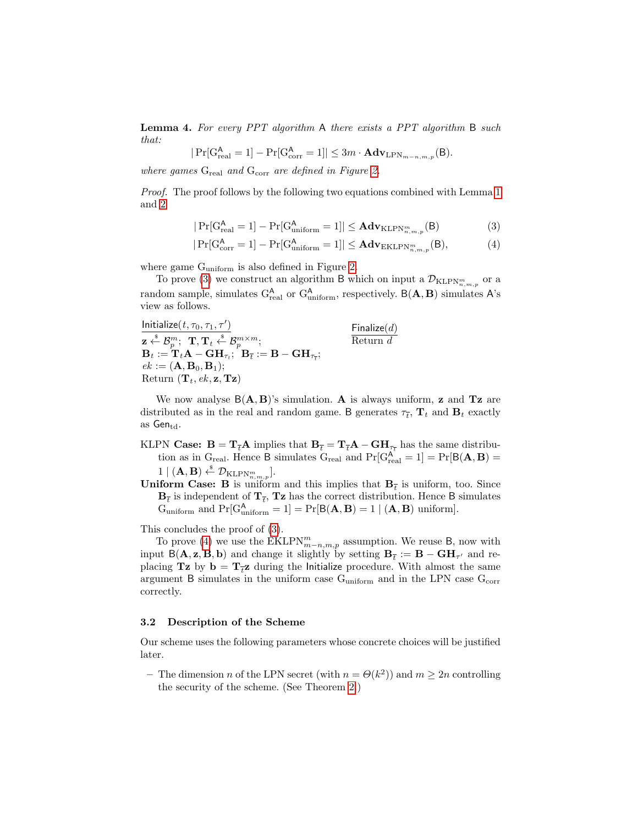Lemma 4. For every PPT algorithm A there exists a PPT algorithm B such that:

$$
|\Pr[\mathbf{G}_{\text{real}}^{\mathbf{A}} = 1] - \Pr[\mathbf{G}_{\text{corr}}^{\mathbf{A}} = 1]| \leq 3m \cdot \mathbf{Adv}_{\text{LPN}_{m-n,m,p}}(\mathbf{B}).
$$

where games  $G_{real}$  and  $G_{corr}$  are defined in Figure [2.](#page-6-1)

Proof. The proof follows by the following two equations combined with Lemma [1](#page-3-0) and [2](#page-4-0)

<span id="page-7-0"></span>
$$
|\Pr[G_{\text{real}}^{\mathsf{A}} = 1] - \Pr[G_{\text{uniform}}^{\mathsf{A}} = 1]| \leq \mathbf{Adv}_{\text{KLPN}_{n,m,p}^m}(\mathsf{B}) \tag{3}
$$

$$
|\Pr[G_{\text{corr}}^{\mathsf{A}} = 1] - \Pr[G_{\text{uniform}}^{\mathsf{A}} = 1]| \leq \mathbf{Adv}_{\text{EKLPN}_{n,m,p}^m}(\mathsf{B}),\tag{4}
$$

where game Guniform is also defined in Figure [2.](#page-6-1)

To prove [\(3\)](#page-7-0) we construct an algorithm B which on input a  $\mathcal{D}_{\text{KLPN}_{n,m,p}}$  or a random sample, simulates  $G_{real}^{\mathsf{A}}$  or  $G_{uniform}^{\mathsf{A}}$ , respectively.  $\mathsf{B}(\mathbf{A}, \mathbf{B})$  simulates  $\mathsf{A}$ 's view as follows.

Initialize $(t, \tau_0, \tau_1, \tau')$  $\mathbf{z} \overset{\hspace{0.1em}\mathsf{\scriptscriptstyle\$}}{\leftarrow} \mathcal{B}^m_p; \ \ \mathbf{T}, \mathbf{T}_t \overset{\hspace{0.1em}\mathsf{\scriptscriptstyle\$}}{\leftarrow} \mathcal{B}^{m \times m}_p;$  $\mathbf{B}_t := \mathbf{T}_t \mathbf{A} - \mathbf{G} \mathbf{H}_{\tau_t}; \ \ \mathbf{B}_{\overline{t}} := \mathbf{B} - \mathbf{G} \mathbf{H}_{\tau_{\overline{t}}};$  $ek := (**A**, **B**<sub>0</sub>, **B**<sub>1</sub>);$ Return  $(\mathbf{T}_t, ek, \mathbf{z}, \mathbf{Tz})$ Finalize $(d)$ Return d

We now analyse  $B(A, B)$ 's simulation. A is always uniform, z and Tz are distributed as in the real and random game. B generates  $\tau_{\bar{t}}$ ,  $\mathbf{T}_t$  and  $\mathbf{B}_t$  exactly as  $Gen_{td}$ .

- KLPN Case:  $B = T_{\bar{t}}A$  implies that  $B_{\bar{t}} = T_{\bar{t}}A GH_{\tau_{\bar{t}}}$  has the same distribution as in G<sub>real</sub>. Hence B simulates G<sub>real</sub> and  $Pr[G_{real}^{\mathcal{A}^*} = 1] = Pr[\mathcal{B}(\mathbf{A}, \mathbf{B}) =$  $1 \mid (\mathbf{A},\mathbf{B}) \overset{\hspace{0.1em}\mathsf{\scriptscriptstyle\$}}{\leftarrow} \mathcal{D}_{\text{KLPN}^m_{n,m,p}}].$
- **Uniform Case: B** is uniform and this implies that  $B_{\bar{t}}$  is uniform, too. Since  $B_{\bar{t}}$  is independent of  $T_{\bar{t}}$ , Tz has the correct distribution. Hence B simulates  $G_{uniform}$  and  $Pr[G_{uniform}^{\mathbf{A}} = 1] = Pr[\mathbf{B}(\mathbf{A}, \mathbf{B}) = 1 \mid (\mathbf{A}, \mathbf{B})$  uniform.

This concludes the proof of [\(3\)](#page-7-0).

To prove [\(4\)](#page-7-0) we use the  $\text{EKLPN}_{m-n,m,p}^m$  assumption. We reuse B, now with input  $B(\mathbf{A}, \mathbf{z}, \mathbf{B}, \mathbf{b})$  and change it slightly by setting  $\mathbf{B}_{\bar{t}} := \mathbf{B} - \mathbf{G} \mathbf{H}_{\tau'}$  and replacing **Tz** by  $\mathbf{b} = \mathbf{T}_{\overline{t}}\mathbf{z}$  during the Initialize procedure. With almost the same argument  $B$  simulates in the uniform case  $G<sub>uniform</sub>$  and in the LPN case  $G<sub>corr</sub>$ correctly.

## <span id="page-7-1"></span>3.2 Description of the Scheme

Our scheme uses the following parameters whose concrete choices will be justified later.

- The dimension n of the LPN secret (with  $n = \Theta(k^2)$ ) and  $m \geq 2n$  controlling the security of the scheme. (See Theorem [2.](#page-11-0))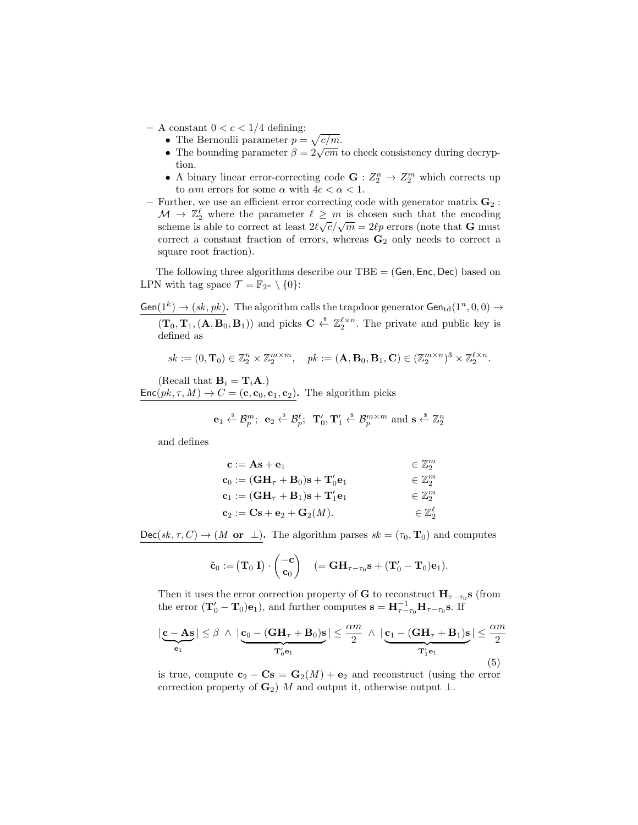- A constant  $0 < c < 1/4$  defining:
	- The Bernoulli parameter  $p = \sqrt{c/m}$ .
	- The bounding parameter  $p = \sqrt{c/m}$ .<br>• The bounding parameter  $\beta = 2\sqrt{cm}$  to check consistency during decryption.
	- A binary linear error-correcting code  $\mathbf{G}: Z_2^n \to Z_2^m$  which corrects up to  $\alpha m$  errors for some  $\alpha$  with  $4c < \alpha < 1$ .
- Further, we use an efficient error correcting code with generator matrix  $\mathbf{G}_2$ :  $\mathcal{M} \to \mathbb{Z}_2^{\ell}$  where the parameter  $\ell \geq m$  is chosen such that the encoding scheme is able to correct at least  $2\ell\sqrt{c}/\sqrt{m} = 2\ell p$  errors (note that **G** must correct a constant fraction of errors, whereas  $G_2$  only needs to correct a square root fraction).

The following three algorithms describe our  $TBE = (Gen, Enc, Dec)$  based on LPN with tag space  $\mathcal{T} = \mathbb{F}_{2^n} \setminus \{0\}$ :

 $Gen(1^k) \rightarrow (sk, pk)$ . The algorithm calls the trapdoor generator  $Gen_{td}(1^n, 0, 0) \rightarrow$  $(T_0, T_1, (A, B_0, B_1))$  and picks  $C \xleftarrow{\$} \mathbb{Z}_2^{\ell \times n}$ . The private and public key is defined as

$$
sk := (0, \mathbf{T}_0) \in \mathbb{Z}_2^n \times \mathbb{Z}_2^{m \times m}, \quad pk := (\mathbf{A}, \mathbf{B}_0, \mathbf{B}_1, \mathbf{C}) \in (\mathbb{Z}_2^{m \times n})^3 \times \mathbb{Z}_2^{\ell \times n}.
$$

(Recall that  $\mathbf{B}_i = \mathbf{T}_i \mathbf{A}$ .)  $Enc(pk, \tau, M) \rightarrow C = (\mathbf{c}, \mathbf{c}_0, \mathbf{c}_1, \mathbf{c}_2)$ . The algorithm picks

$$
\mathbf{e}_1 \stackrel{\hspace{0.1em}\mathsf{\scriptscriptstyle\$}}{\leftarrow} \mathcal{B}_p^m; \ \ \mathbf{e}_2 \stackrel{\hspace{0.1em}\mathsf{\scriptscriptstyle\$}}{\leftarrow} \mathcal{B}_p^\ell; \ \ \mathbf{T}_0', \mathbf{T}_1' \stackrel{\hspace{0.1em}\mathsf{\scriptscriptstyle\$}}{\leftarrow} \mathcal{B}_p^{m \times m} \ \text{and} \ \mathbf{s} \stackrel{\hspace{0.1em}\mathsf{\scriptscriptstyle\$}}{\leftarrow} \mathbb{Z}_2^n
$$

and defines

$$
\begin{aligned}\n\mathbf{c} &:= \mathbf{A}\mathbf{s} + \mathbf{e}_1 & \in \mathbb{Z}_2^m \\
\mathbf{c}_0 &:= (\mathbf{G}\mathbf{H}_{\tau} + \mathbf{B}_0)\mathbf{s} + \mathbf{T}_0'\mathbf{e}_1 & \in \mathbb{Z}_2^m \\
\mathbf{c}_1 &:= (\mathbf{G}\mathbf{H}_{\tau} + \mathbf{B}_1)\mathbf{s} + \mathbf{T}_1'\mathbf{e}_1 & \in \mathbb{Z}_2^m \\
\mathbf{c}_2 &:= \mathbf{C}\mathbf{s} + \mathbf{e}_2 + \mathbf{G}_2(M). & \in \mathbb{Z}_2^\ell\n\end{aligned}
$$

 $\text{Dec}(sk, \tau, C) \to (M \text{ or } \bot)$ . The algorithm parses  $sk = (\tau_0, \mathbf{T}_0)$  and computes

$$
\tilde{\mathbf{c}}_0 := \big(\mathbf{T}_0\;\mathbf{I}\big)\cdot \begin{pmatrix} -\mathbf{c} \\ \mathbf{c}_0 \end{pmatrix} \quad (= \mathbf{G}\mathbf{H}_{\tau-\tau_0}\mathbf{s} + (\mathbf{T}_0'-\mathbf{T}_0)\mathbf{e}_1).
$$

Then it uses the error correction property of **G** to reconstruct  $\mathbf{H}_{\tau-\tau_0}$ **s** (from the error  $(T'_0 - T_0)e_1$ , and further computes  $s = H_{\tau-\tau_0}^{-1}H_{\tau-\tau_0}$ . If

<span id="page-8-0"></span>
$$
\left|\underbrace{\mathbf{c}-\mathbf{A}\mathbf{s}}_{\mathbf{e}_1}\right| \leq \beta \ \land \ \left|\underbrace{\mathbf{c}_0 - (\mathbf{G}\mathbf{H}_{\tau} + \mathbf{B}_0)\mathbf{s}}_{\mathbf{T}_0'\mathbf{e}_1}\right| \leq \frac{\alpha m}{2} \ \land \ \left|\underbrace{\mathbf{c}_1 - (\mathbf{G}\mathbf{H}_{\tau} + \mathbf{B}_1)\mathbf{s}}_{\mathbf{T}_1'\mathbf{e}_1}\right| \leq \frac{\alpha m}{2}
$$
\n(5)

is true, compute  $c_2 - Cs = G_2(M) + e_2$  and reconstruct (using the error correction property of  $\mathbf{G}_2$ ) M and output it, otherwise output  $\perp$ .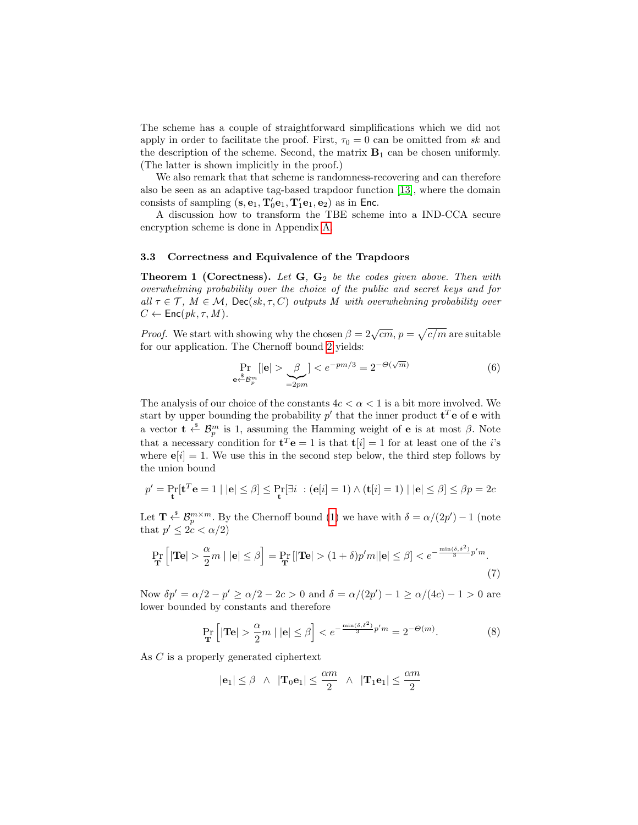<span id="page-9-2"></span>The scheme has a couple of straightforward simplifications which we did not apply in order to facilitate the proof. First,  $\tau_0 = 0$  can be omitted from sk and the description of the scheme. Second, the matrix  $B_1$  can be chosen uniformly. (The latter is shown implicitly in the proof.)

We also remark that that scheme is randomness-recovering and can therefore also be seen as an adaptive tag-based trapdoor function [\[13\]](#page-15-3), where the domain consists of sampling  $({\bf s},{\bf e}_1, {\bf T}_0'{\bf e}_1, {\bf T}_1'{\bf e}_1,{\bf e}_2)$  as in Enc.

A discussion how to transform the TBE scheme into a IND-CCA secure encryption scheme is done in Appendix [A.](#page-16-0)

#### 3.3 Correctness and Equivalence of the Trapdoors

**Theorem 1 (Corectness).** Let  $G$ ,  $G_2$  be the codes given above. Then with overwhelming probability over the choice of the public and secret keys and for all  $\tau \in \mathcal{T}$ ,  $M \in \mathcal{M}$ , Dec(sk,  $\tau$ , C) outputs M with overwhelming probability over  $C \leftarrow \mathsf{Enc}(pk, \tau, M).$ 

*Proof.* We start with showing why the chosen  $\beta = 2\sqrt{cm}$ ,  $p = \sqrt{c/m}$  are suitable for our application. The Chernoff bound [2](#page-3-1) yields:

<span id="page-9-0"></span>
$$
\Pr_{\mathbf{e} \leftarrow^{\$} \mathcal{B}_{p}^{m}}[|\mathbf{e}| > \bigotimes_{n=2pm}^{\beta} ] < e^{-pm/3} = 2^{-\Theta(\sqrt{m})}
$$
(6)

The analysis of our choice of the constants  $4c < \alpha < 1$  is a bit more involved. We start by upper bounding the probability  $p'$  that the inner product  $\mathbf{t}^T\mathbf{e}$  of  $\mathbf{e}$  with a vector  $\mathbf{t} \stackrel{\ast}{\leftarrow} \mathcal{B}_p^m$  is 1, assuming the Hamming weight of **e** is at most  $\beta$ . Note that a necessary condition for  $\mathbf{t}^T \mathbf{e} = 1$  is that  $\mathbf{t}[i] = 1$  for at least one of the *i*'s where  $e[i] = 1$ . We use this in the second step below, the third step follows by the union bound

$$
p' = \Pr_{\mathbf{t}}[\mathbf{t}^T \mathbf{e} = 1 | |\mathbf{e}| \le \beta] \le \Pr_{\mathbf{t}}[\exists i : (\mathbf{e}[i] = 1) \land (\mathbf{t}[i] = 1) | |\mathbf{e}| \le \beta] \le \beta p = 2c
$$

Let  $\mathbf{T} \stackrel{\hspace{0.1em}\mathsf{\scriptscriptstyle\$}}{\leftarrow} \mathcal{B}_p^{m \times m}$ . By the Chernoff bound [\(1\)](#page-3-2) we have with  $\delta = \alpha/(2p') - 1$  (note that  $p' \leq 2c < \alpha/2$ 

$$
\Pr_{\mathbf{T}}\left[|\mathbf{Te}| > \frac{\alpha}{2}m \mid |\mathbf{e}| \le \beta\right] = \Pr_{\mathbf{T}}\left[|\mathbf{Te}| > (1+\delta)p'm||\mathbf{e}| \le \beta\right] < e^{-\frac{\min(\delta,\delta^2)}{3}p'm}.\tag{7}
$$

Now  $\delta p' = \alpha/2 - p' \ge \alpha/2 - 2c > 0$  and  $\delta = \alpha/(2p') - 1 \ge \alpha/(4c) - 1 > 0$  are lower bounded by constants and therefore

$$
\Pr_{\mathbf{T}}\left[|\mathbf{T}\mathbf{e}| > \frac{\alpha}{2}m \mid |\mathbf{e}| \le \beta\right] < e^{-\frac{\min(\delta,\delta^2)}{3}p'm} = 2^{-\Theta(m)}.
$$
\n(8)

<span id="page-9-1"></span>As C is a properly generated ciphertext

$$
|\mathbf{e}_1| \leq \beta \ \wedge \ |\mathbf{T}_0 \mathbf{e}_1| \leq \frac{\alpha m}{2} \ \wedge \ |\mathbf{T}_1 \mathbf{e}_1| \leq \frac{\alpha m}{2}
$$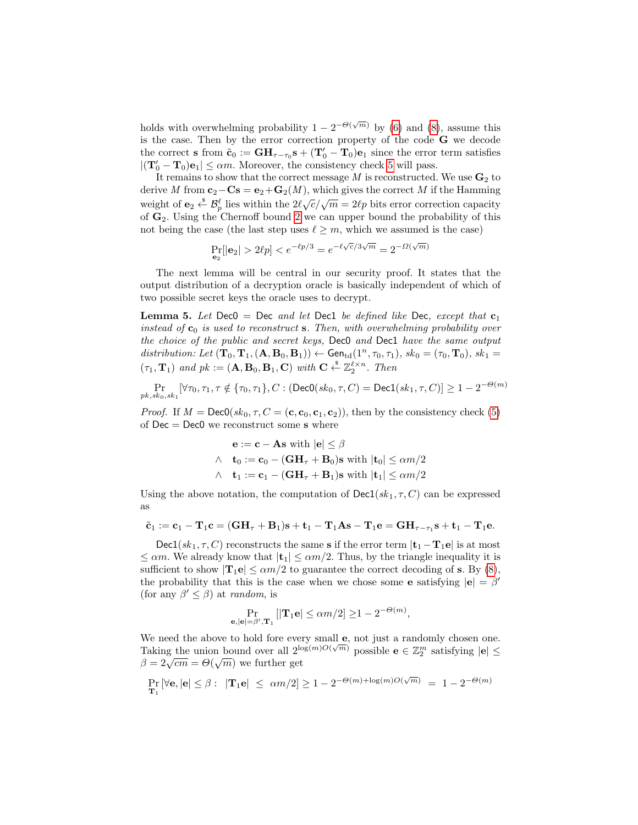holds with overwhelming probability  $1 - 2^{-\Theta(\sqrt{m})}$  by [\(6\)](#page-9-0) and [\(8\)](#page-9-1), assume this is the case. Then by the error correction property of the code G we decode the correct s from  $\tilde{\mathbf{c}}_0 := \mathbf{G}\mathbf{H}_{\tau-\tau_0}\mathbf{s} + (\mathbf{T}'_0 - \mathbf{T}_0)\mathbf{e}_1$  since the error term satisfies  $|({\bf T}'_0-{\bf T}_0){\bf e}_1|\leq \alpha m.$  Moreover, the consistency check [5](#page-8-0) will pass.

It remains to show that the correct message  $M$  is reconstructed. We use  $\mathbf{G}_2$  to derive M from  $c_2-Cs = e_2+G_2(M)$ , which gives the correct M if the Hamming weight of  $\mathbf{e}_2 \stackrel{\text{d}}{\leftarrow} \mathcal{B}_p^{\ell}$  lies within the  $2\ell\sqrt{c}/\sqrt{m} = 2\ell p$  bits error correction capacity of  $\mathbf{G}_2$ . Using the Chernoff bound [2](#page-3-1) we can upper bound the probability of this not being the case (the last step uses  $\ell \geq m$ , which we assumed is the case)

$$
\Pr_{\mathbf{e}_2}[|\mathbf{e}_2| > 2\ell p] < e^{-\ell p/3} = e^{-\ell \sqrt{c}/3\sqrt{m}} = 2^{-\Omega(\sqrt{m})}
$$

The next lemma will be central in our security proof. It states that the output distribution of a decryption oracle is basically independent of which of two possible secret keys the oracle uses to decrypt.

<span id="page-10-0"></span>**Lemma 5.** Let Dec0 = Dec and let Dec1 be defined like Dec, except that  $c_1$ instead of  $c_0$  is used to reconstruct s. Then, with overwhelming probability over the choice of the public and secret keys, Dec0 and Dec1 have the same output distribution: Let  $(\mathbf{T}_0, \mathbf{T}_1, (\mathbf{A}, \mathbf{B}_0, \mathbf{B}_1)) \leftarrow \mathsf{Gen}_{td}(1^n, \tau_0, \tau_1), \, sk_0 = (\tau_0, \mathbf{T}_0), \, sk_1 =$  $(\tau_1, \mathbf{T}_1)$  and  $pk := (\mathbf{A}, \mathbf{B}_0, \mathbf{B}_1, \mathbf{C})$  with  $\mathbf{C} \stackrel{\hspace{0.1em}\mathsf{\scriptscriptstyle\$}}{\leftarrow} \mathbb{Z}_2^{\ell \times n}$ . Then

$$
\Pr_{pk, sk_0, sk_1} [\forall \tau_0, \tau_1, \tau \notin \{\tau_0, \tau_1\}, C : (\text{DecO}(sk_0, \tau, C) = \text{Dec1}(sk_1, \tau, C)] \ge 1 - 2^{-\Theta(m)}
$$

*Proof.* If  $M = \text{DecO}(sk_0, \tau, C = (\mathbf{c}, \mathbf{c}_0, \mathbf{c}_1, \mathbf{c}_2))$ , then by the consistency check [\(5\)](#page-8-0) of  $Dec = Dec0$  we reconstruct some s where

$$
\mathbf{e} := \mathbf{c} - \mathbf{A}\mathbf{s} \text{ with } |\mathbf{e}| \le \beta
$$
  

$$
\wedge \quad \mathbf{t}_0 := \mathbf{c}_0 - (\mathbf{G}\mathbf{H}_{\tau} + \mathbf{B}_0)\mathbf{s} \text{ with } |\mathbf{t}_0| \le \alpha m/2
$$
  

$$
\wedge \quad \mathbf{t}_1 := \mathbf{c}_1 - (\mathbf{G}\mathbf{H}_{\tau} + \mathbf{B}_1)\mathbf{s} \text{ with } |\mathbf{t}_1| \le \alpha m/2
$$

Using the above notation, the computation of  $\text{Dec1}(sk_1, \tau, C)$  can be expressed as

$$
\tilde{\mathbf{c}}_1:=\mathbf{c}_1-\mathbf{T}_1\mathbf{c}=(\mathbf{G}\mathbf{H}_{\tau}+\mathbf{B}_1)\mathbf{s}+\mathbf{t}_1-\mathbf{T}_1\mathbf{A}\mathbf{s}-\mathbf{T}_1\mathbf{e}=\mathbf{G}\mathbf{H}_{\tau-\tau_1}\mathbf{s}+\mathbf{t}_1-\mathbf{T}_1\mathbf{e}.
$$

Dec1(sk<sub>1</sub>,  $\tau$ , C) reconstructs the same s if the error term  $|\mathbf{t}_1 - \mathbf{T}_1 \mathbf{e}|$  is at most  $\leq \alpha m$ . We already know that  $|\mathbf{t}_1| \leq \alpha m/2$ . Thus, by the triangle inequality it is sufficient to show  $|\mathbf{T}_1\mathbf{e}| \le \alpha m/2$  to guarantee the correct decoding of s. By [\(8\)](#page-9-1), the probability that this is the case when we chose some **e** satisfying  $|e| = \beta'$ (for any  $\beta' \leq \beta$ ) at *random*, is

$$
\Pr_{\mathbf{e},|\mathbf{e}|=\beta',\mathbf{T}_1} \left[|\mathbf{T}_1\mathbf{e}| \le \alpha m/2\right] \ge 1 - 2^{-\Theta(m)},
$$

We need the above to hold fore every small **e**, not just a randomly chosen one. Taking the union bound over all  $2^{\log(m)O(\sqrt{m})}$  possible  $\mathbf{e} \in \mathbb{Z}_2^m$  satisfying  $|\mathbf{e}| \leq$ Taking the union bound over an  $2 \sqrt{m}$ <br> $\beta = 2\sqrt{cm} = \Theta(\sqrt{m})$  we further get

$$
\Pr_{\mathbf{T}_1} \left[ \forall \mathbf{e}, |\mathbf{e}| \le \beta : ||\mathbf{T}_1 \mathbf{e}| \le \alpha m/2 \right] \ge 1 - 2^{-\Theta(m) + \log(m)O(\sqrt{m})} = 1 - 2^{-\Theta(m)}
$$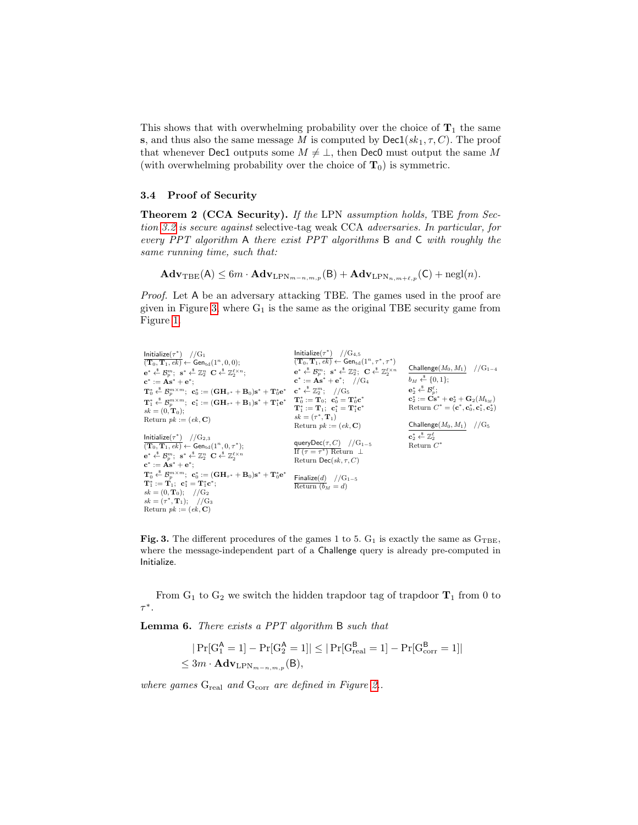This shows that with overwhelming probability over the choice of  $T_1$  the same s, and thus also the same message M is computed by  $\mathsf{Dec1}(sk_1, \tau, C)$ . The proof that whenever Dec1 outputs some  $M \neq \perp$ , then Dec0 must output the same M (with overwhelming probability over the choice of  $\mathbf{T}_0$ ) is symmetric.

## 3.4 Proof of Security

<span id="page-11-0"></span>Theorem 2 (CCA Security). If the LPN assumption holds, TBE from Section [3.2](#page-7-1) is secure against selective-tag weak CCA adversaries. In particular, for every PPT algorithm A there exist PPT algorithms B and C with roughly the same running time, such that:

 $\mathbf{Adv}_{\mathrm{TBE}}(\mathsf{A}) \leq 6m \cdot \mathbf{Adv}_{\mathrm{LPN}_{m-n,m,p}}(\mathsf{B}) + \mathbf{Adv}_{\mathrm{LPN}_{n,m+\ell,p}}(\mathsf{C}) + \mathrm{negl}(n).$ 

Proof. Let A be an adversary attacking TBE. The games used in the proof are given in Figure [3,](#page-11-1) where  $G_1$  is the same as the original TBE security game from Figure [1.](#page-5-0)



<span id="page-11-1"></span>Fig. 3. The different procedures of the games 1 to 5.  $G_1$  is exactly the same as  $G_{\text{TBE}}$ , where the message-independent part of a Challenge query is already pre-computed in Initialize.

<span id="page-11-2"></span>From  $G_1$  to  $G_2$  we switch the hidden trapdoor tag of trapdoor  $T_1$  from 0 to  $\tau^*$ .

Lemma 6. There exists a PPT algorithm B such that

$$
|\Pr[G_1^{\mathsf{A}} = 1] - \Pr[G_2^{\mathsf{A}} = 1]| \leq |\Pr[G_{\text{real}}^{\mathsf{B}} = 1] - \Pr[G_{\text{corr}}^{\mathsf{B}} = 1]|
$$
  
 $\leq 3m \cdot \mathbf{Adv}_{\text{LPN}_{m-n,m,p}}(\mathsf{B}),$ 

where games  $G_{real}$  and  $G_{corr}$  are defined in Figure [2.](#page-6-1).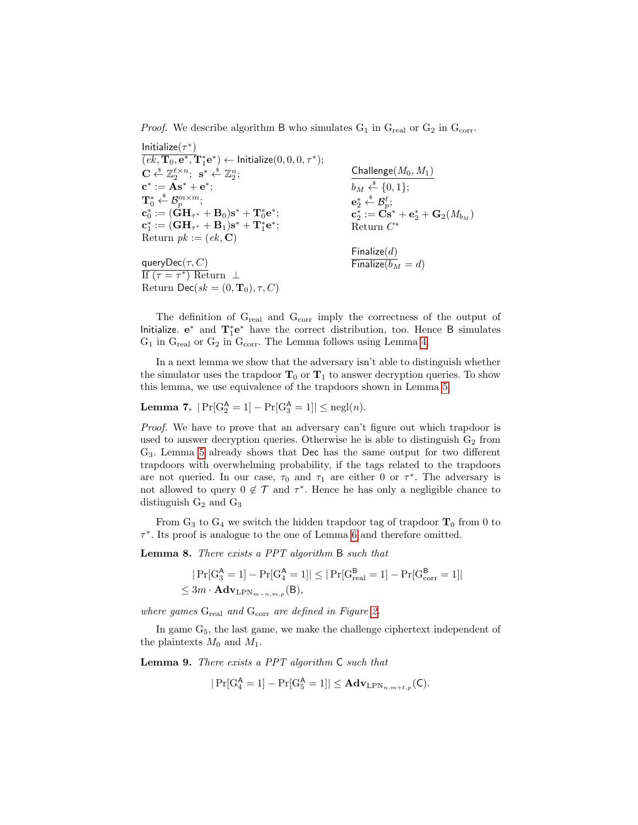*Proof.* We describe algorithm B who simulates  $G_1$  in  $G_{real}$  or  $G_2$  in  $G_{corr}$ .

Initialize $(\tau^*)$  $\overline{(\mathit{ek}, \mathbf{T}_0, \mathbf{e}^*, \mathbf{T}_1^* \mathbf{e}^*)} \leftarrow \mathsf{Initialize}(0,0,0,\tau^*) ;$  $\mathbf{C} \overset{\hspace{0.1em}\mathsf{\scriptscriptstyle\$}}{\leftarrow} \mathbb{Z}_2^{\ell \times n}; \ \ \mathbf{s}^* \overset{\hspace{0.1em}\mathsf{\scriptscriptstyle\$}}{\leftarrow} \mathbb{Z}_2^n;$  $\mathbf{c}^* := \bar{\mathbf{A}} \mathbf{s}^* + \mathbf{e}^*;$  ${\bf T}^\ast_0 \stackrel{\hspace{0.1em}\mathsf{\scriptscriptstyle\$}}{\leftarrow} \mathcal{B}_p^{m \times m};$  ${\bf c}^*_0:= (\dot{\bf G}{\bf H}_{\tau^*}+{\bf B}_0){\bf s}^*+{\bf T}^*_0{\bf e}^*;$  ${\bf c}_1^*:=({\bf G}{\bf H}_{\tau^*}+{\bf B}_1){\bf s}^*+{\bf T}_1^*{\bf e}^*;$ Return  $pk := (ek, \mathbf{C})$ queryDec( $\tau$ , C) If  $(\tau = \tau^*)$  Return  $\perp$ Return Dec( $sk = (0, T_0), \tau, C$ )  $\mathsf{Challenge}(M_0, M_1)$  $b_M \stackrel{\hspace{0.1em}\mathsf{\scriptscriptstyle\$}}{\leftarrow} \{0,1\};$  $\mathbf{e}_2^* \overset{\hspace{0.1em}\mathsf{\scriptscriptstyle\$}}{\leftarrow} \mathcal{B}^{\ell}_{p};$  ${\bf c}^*_2 := \dot{{\bf C}}{\bf s}^* + {\bf e}^*_2 + {\bf G}_2(M_{b_M})$ Return  $C^*$ Finalize $(d)$ Finalize $(\overline{b_M} = d)$ 

The definition of G<sub>real</sub> and G<sub>corr</sub> imply the correctness of the output of Initialize. e<sup>\*</sup> and T<sup>\*</sup><sub>1</sub>e<sup>\*</sup> have the correct distribution, too. Hence B simulates  $G_1$  in  $G_{real}$  or  $G_2$  in  $G_{corr}$ . The Lemma follows using Lemma [4.](#page-6-0)

In a next lemma we show that the adversary isn't able to distinguish whether the simulator uses the trapdoor  $T_0$  or  $T_1$  to answer decryption queries. To show this lemma, we use equivalence of the trapdoors shown in Lemma [5.](#page-10-0)

**Lemma 7.**  $|\Pr[\mathbf{G}_2^{\mathsf{A}} = 1] - \Pr[\mathbf{G}_3^{\mathsf{A}} = 1]| \leq \text{negl}(n)$ .

Proof. We have to prove that an adversary can't figure out which trapdoor is used to answer decryption queries. Otherwise he is able to distinguish  $G_2$  from G3. Lemma [5](#page-10-0) already shows that Dec has the same output for two different trapdoors with overwhelming probability, if the tags related to the trapdoors are not queried. In our case,  $\tau_0$  and  $\tau_1$  are either 0 or  $\tau^*$ . The adversary is not allowed to query  $0 \notin \mathcal{T}$  and  $\tau^*$ . Hence he has only a negligible chance to distinguish  $G_2$  and  $G_3$ 

From  $G_3$  to  $G_4$  we switch the hidden trapdoor tag of trapdoor  $T_0$  from 0 to τ ∗ . Its proof is analogue to the one of Lemma [6](#page-11-2) and therefore omitted.

Lemma 8. There exists a PPT algorithm B such that

$$
|\Pr[G_3^{\mathsf{A}} = 1] - \Pr[G_4^{\mathsf{A}} = 1]| \leq |\Pr[G_{\text{real}}^{\mathsf{B}} = 1] - \Pr[G_{\text{corr}}^{\mathsf{B}} = 1]|
$$
  
 $\leq 3m \cdot \mathbf{Adv}_{\text{LPN}_{m-n,m,p}}(\mathsf{B}),$ 

where games  $G_{real}$  and  $G_{corr}$  are defined in Figure [2.](#page-6-1)

In game G5, the last game, we make the challenge ciphertext independent of the plaintexts  $M_0$  and  $M_1$ .

Lemma 9. There exists a PPT algorithm C such that

$$
|\Pr[\mathrm{G}_4^\mathsf{A}=1]-\Pr[\mathrm{G}_5^\mathsf{A}=1]| \leq \mathbf{Adv}_{\mathrm{LPN}_{n,m+\ell,p}}(\mathsf{C})
$$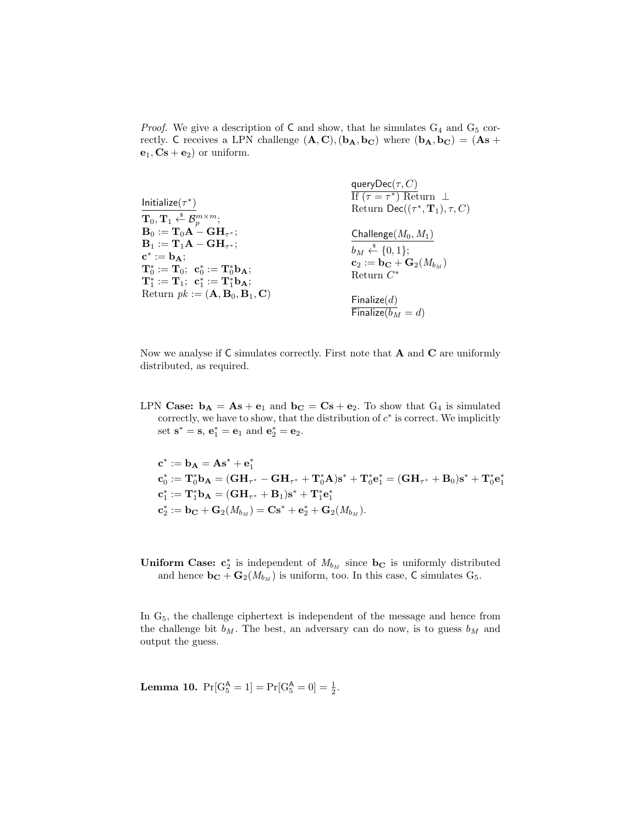*Proof.* We give a description of  $C$  and show, that he simulates  $G_4$  and  $G_5$  correctly. C receives a LPN challenge  $(A, C), (b_A, b_C)$  where  $(b_A, b_C) = (As +$  $\mathbf{e}_1, \mathbf{C}\mathbf{s} + \mathbf{e}_2$  or uniform.

Initialize $(\tau^*)$  ${\bf T}_0, {\bf T}_1 \overset{\hspace{0.1em}\mathsf{\scriptscriptstyle\$}}{\leftarrow} \mathcal{B}_p^{m \times m};$  $\mathbf{B}_0 := \mathbf{T}_0\mathbf{A} - \mathbf{G}\mathbf{H}_{\tau^*};$  $\mathbf{B}_1 := \mathbf{T}_1\mathbf{A} - \mathbf{G}\mathbf{H}_{\tau^*};$  $\mathbf{c}^* := \mathbf{b}_\mathbf{A};$  ${\bf T}^*_0:={\bf T}_0;\ \ {\bf c}^*_0:={\bf T}^*_0{\bf b_A};$  ${\bf T}_1^* := {\bf T}_1; ~~ {\bf c}_1^* := {\bf T}_1^* {\bf b_A};$ Return  $pk := (\mathbf{A}, \mathbf{B}_0, \mathbf{B}_1, \mathbf{C})$ queryDec( $\tau$ , C) If  $(\tau = \tau^*)$  Return  $\perp$ Return Dec( $(\tau^*, \mathbf{T}_1), \tau, C$ )  $\mathsf{Challenge}(M_0, M_1)$  $b_M \stackrel{\hspace{0.1em}\mathsf{\scriptscriptstyle\$}}{\leftarrow} \{0,1\};$  $\mathbf{c}_2 := \mathbf{b_C} + \mathbf{G}_2(M_{b_M})$ Return  $C^*$ Finalize $(d)$ Finalize $(b_M = d)$ 

Now we analyse if  $C$  simulates correctly. First note that  $A$  and  $C$  are uniformly distributed, as required.

LPN Case:  $\mathbf{b}_A = \mathbf{A}\mathbf{s} + \mathbf{e}_1$  and  $\mathbf{b}_C = \mathbf{C}\mathbf{s} + \mathbf{e}_2$ . To show that  $G_4$  is simulated correctly, we have to show, that the distribution of  $c^*$  is correct. We implicitly set  $s^* = s$ ,  $e_1^* = e_1$  and  $e_2^* = e_2$ .

 $\mathbf{c}^* := \mathbf{b}_\mathbf{A} = \mathbf{A}\mathbf{s}^* + \mathbf{e}_1^*$  ${\bf c}^*_0:={\bf T}^*_0{\bf b}_{\bf A}=({\bf G}{\bf H}_{\tau^*}-{\bf G}{\bf H}_{\tau^*}+{\bf T}^*_0{\bf A}){\bf s}^*+{\bf T}^*_0{\bf e}^*_1=({\bf G}{\bf H}_{\tau^*}+{\bf B}_0){\bf s}^*+{\bf T}^*_0{\bf e}^*_1$  ${\bf c}^*_1:={\bf T}^*_1{\bf b_A}=({\bf G}{\bf H}_{\tau^*}+{\bf B}_1){\bf s}^*+{\bf T}^*_1{\bf e}^*_1$  ${\bf c}^*_2 := {\bf b_C} + {\bf G}_2(M_{b_M}) = {\bf C}{\bf s}^* + {\bf e}^*_2 + {\bf G}_2(M_{b_M}).$ 

Uniform Case:  $c_2^*$  is independent of  $M_{b_M}$  since  $\mathbf{b_C}$  is uniformly distributed and hence  $\mathbf{b_C} + \mathbf{G}_2(M_{b_M})$  is uniform, too. In this case, C simulates  $G_5$ .

In G5, the challenge ciphertext is independent of the message and hence from the challenge bit  $b_M$ . The best, an adversary can do now, is to guess  $b_M$  and output the guess.

<span id="page-13-0"></span>**Lemma 10.**  $Pr[G_5^{\mathsf{A}} = 1] = Pr[G_5^{\mathsf{A}} = 0] = \frac{1}{2}$ .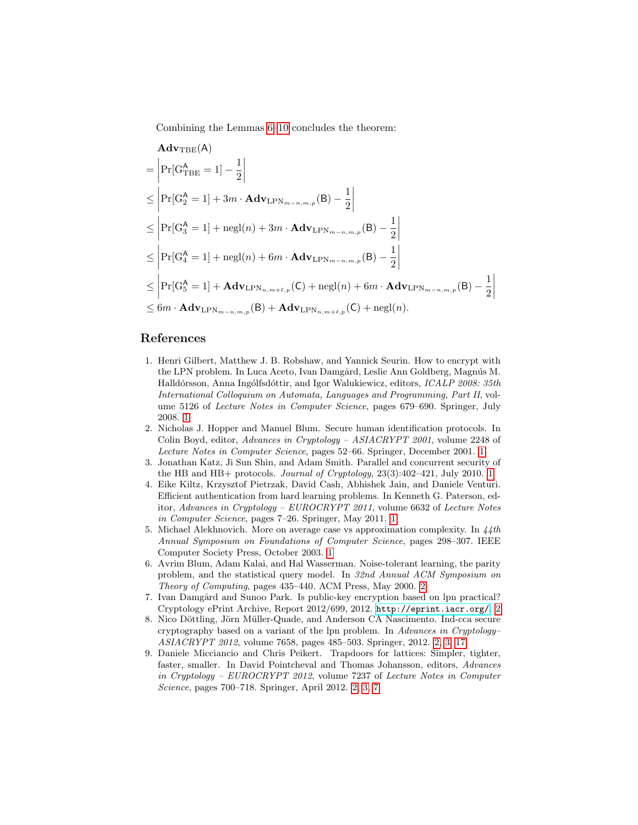Combining the Lemmas [6–](#page-11-2)[10](#page-13-0) concludes the theorem:

$$
\mathbf{Adv}_{\text{TBE}}(A) = \left| \Pr[G_{\text{TBE}}^{A} = 1] - \frac{1}{2} \right|
$$
\n
$$
\leq \left| \Pr[G_{2}^{A} = 1] + 3m \cdot \mathbf{Adv}_{\text{LPN}_{m-n,m,p}}(B) - \frac{1}{2} \right|
$$
\n
$$
\leq \left| \Pr[G_{3}^{A} = 1] + \text{negl}(n) + 3m \cdot \mathbf{Adv}_{\text{LPN}_{m-n,m,p}}(B) - \frac{1}{2} \right|
$$
\n
$$
\leq \left| \Pr[G_{4}^{A} = 1] + \text{negl}(n) + 6m \cdot \mathbf{Adv}_{\text{LPN}_{m-n,m,p}}(B) - \frac{1}{2} \right|
$$
\n
$$
\leq \left| \Pr[G_{5}^{A} = 1] + \mathbf{Adv}_{\text{LPN}_{n,m+\ell,p}}(C) + \text{negl}(n) + 6m \cdot \mathbf{Adv}_{\text{LPN}_{m-n,m,p}}(B) - \frac{1}{2} \right|
$$
\n
$$
\leq 6m \cdot \mathbf{Adv}_{\text{LPN}_{m-n,m,p}}(B) + \mathbf{Adv}_{\text{LPN}_{n,m+\ell,p}}(C) + \text{negl}(n).
$$

# References

- <span id="page-14-0"></span>1. Henri Gilbert, Matthew J. B. Robshaw, and Yannick Seurin. How to encrypt with the LPN problem. In Luca Aceto, Ivan Damgård, Leslie Ann Goldberg, Magnús M. Halldórsson, Anna Ingólfsdóttir, and Igor Walukiewicz, editors, ICALP 2008: 35th International Colloquium on Automata, Languages and Programming, Part II, volume 5126 of Lecture Notes in Computer Science, pages 679–690. Springer, July 2008. [1](#page-0-0)
- <span id="page-14-1"></span>2. Nicholas J. Hopper and Manuel Blum. Secure human identification protocols. In Colin Boyd, editor, Advances in Cryptology – ASIACRYPT 2001, volume 2248 of Lecture Notes in Computer Science, pages 52–66. Springer, December 2001. [1](#page-0-0)
- <span id="page-14-2"></span>3. Jonathan Katz, Ji Sun Shin, and Adam Smith. Parallel and concurrent security of the HB and HB+ protocols. Journal of Cryptology, 23(3):402–421, July 2010. [1](#page-0-0)
- <span id="page-14-3"></span>4. Eike Kiltz, Krzysztof Pietrzak, David Cash, Abhishek Jain, and Daniele Venturi. Efficient authentication from hard learning problems. In Kenneth G. Paterson, editor, Advances in Cryptology – EUROCRYPT 2011, volume 6632 of Lecture Notes in Computer Science, pages 7–26. Springer, May 2011. [1](#page-0-0)
- <span id="page-14-4"></span>5. Michael Alekhnovich. More on average case vs approximation complexity. In  $\frac{4}{4}$ Annual Symposium on Foundations of Computer Science, pages 298–307. IEEE Computer Society Press, October 2003. [1](#page-0-0)
- <span id="page-14-5"></span>6. Avrim Blum, Adam Kalai, and Hal Wasserman. Noise-tolerant learning, the parity problem, and the statistical query model. In 32nd Annual ACM Symposium on Theory of Computing, pages 435–440. ACM Press, May 2000. [2](#page-1-2)
- <span id="page-14-6"></span>7. Ivan Damgård and Sunoo Park. Is public-key encryption based on lpn practical? Cryptology ePrint Archive, Report 2012/699, 2012. <http://eprint.iacr.org/>. [2](#page-1-2)
- <span id="page-14-7"></span>8. Nico Döttling, Jörn Müller-Quade, and Anderson CA Nascimento. Ind-cca secure cryptography based on a variant of the lpn problem. In Advances in Cryptology– ASIACRYPT 2012, volume 7658, pages 485–503. Springer, 2012. [2,](#page-1-2) [3,](#page-2-0) [17](#page-16-1)
- <span id="page-14-8"></span>9. Daniele Micciancio and Chris Peikert. Trapdoors for lattices: Simpler, tighter, faster, smaller. In David Pointcheval and Thomas Johansson, editors, Advances in Cryptology – EUROCRYPT 2012, volume 7237 of Lecture Notes in Computer Science, pages 700–718. Springer, April 2012. [2,](#page-1-2) [3,](#page-2-0) [7](#page-6-2)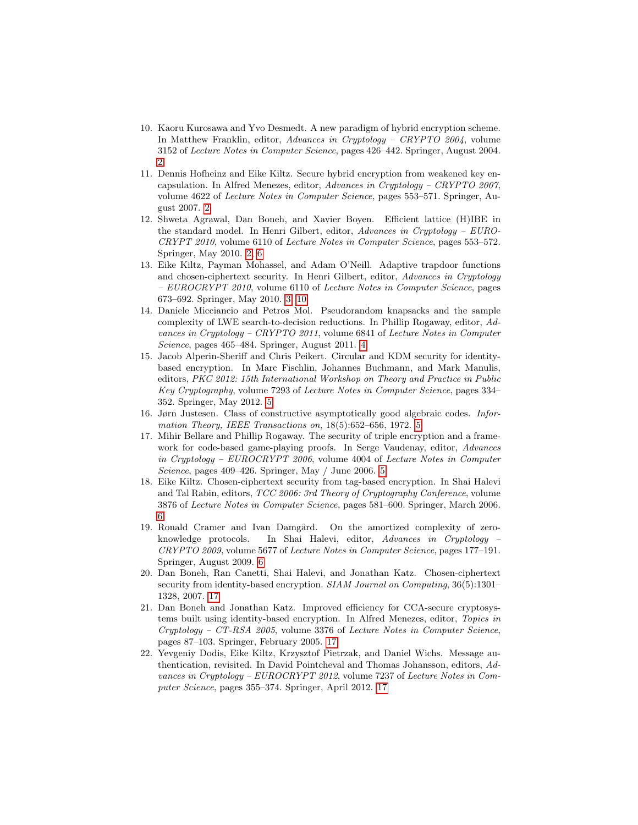- <span id="page-15-0"></span>10. Kaoru Kurosawa and Yvo Desmedt. A new paradigm of hybrid encryption scheme. In Matthew Franklin, editor, Advances in Cryptology – CRYPTO 2004, volume 3152 of Lecture Notes in Computer Science, pages 426–442. Springer, August 2004. [2](#page-1-2)
- <span id="page-15-1"></span>11. Dennis Hofheinz and Eike Kiltz. Secure hybrid encryption from weakened key encapsulation. In Alfred Menezes, editor,  $Advances$  in Cryptology – CRYPTO 2007, volume 4622 of Lecture Notes in Computer Science, pages 553–571. Springer, August 2007. [2](#page-1-2)
- <span id="page-15-2"></span>12. Shweta Agrawal, Dan Boneh, and Xavier Boyen. Efficient lattice (H)IBE in the standard model. In Henri Gilbert, editor, Advances in Cryptology – EURO-CRYPT 2010, volume 6110 of Lecture Notes in Computer Science, pages 553–572. Springer, May 2010. [2,](#page-1-2) [6](#page-5-2)
- <span id="page-15-3"></span>13. Eike Kiltz, Payman Mohassel, and Adam O'Neill. Adaptive trapdoor functions and chosen-ciphertext security. In Henri Gilbert, editor, Advances in Cryptology – EUROCRYPT 2010, volume 6110 of Lecture Notes in Computer Science, pages 673–692. Springer, May 2010. [3,](#page-2-0) [10](#page-9-2)
- <span id="page-15-4"></span>14. Daniele Micciancio and Petros Mol. Pseudorandom knapsacks and the sample complexity of LWE search-to-decision reductions. In Phillip Rogaway, editor, Advances in Cryptology – CRYPTO 2011, volume 6841 of Lecture Notes in Computer Science, pages 465–484. Springer, August 2011. [4](#page-3-3)
- <span id="page-15-5"></span>15. Jacob Alperin-Sheriff and Chris Peikert. Circular and KDM security for identitybased encryption. In Marc Fischlin, Johannes Buchmann, and Mark Manulis, editors, PKC 2012: 15th International Workshop on Theory and Practice in Public Key Cryptography, volume 7293 of Lecture Notes in Computer Science, pages 334– 352. Springer, May 2012. [5](#page-4-1)
- <span id="page-15-6"></span>16. Jørn Justesen. Class of constructive asymptotically good algebraic codes. Information Theory, IEEE Transactions on, 18(5):652–656, 1972. [5](#page-4-1)
- <span id="page-15-7"></span>17. Mihir Bellare and Phillip Rogaway. The security of triple encryption and a framework for code-based game-playing proofs. In Serge Vaudenay, editor, Advances in Cryptology – EUROCRYPT 2006, volume 4004 of Lecture Notes in Computer Science, pages 409–426. Springer, May / June 2006. [5](#page-4-1)
- <span id="page-15-8"></span>18. Eike Kiltz. Chosen-ciphertext security from tag-based encryption. In Shai Halevi and Tal Rabin, editors, TCC 2006: 3rd Theory of Cryptography Conference, volume 3876 of Lecture Notes in Computer Science, pages 581–600. Springer, March 2006. [6](#page-5-2)
- <span id="page-15-9"></span>19. Ronald Cramer and Ivan Damgård. On the amortized complexity of zeroknowledge protocols. In Shai Halevi, editor, Advances in Cryptology – CRYPTO 2009, volume 5677 of Lecture Notes in Computer Science, pages 177–191. Springer, August 2009. [6](#page-5-2)
- <span id="page-15-10"></span>20. Dan Boneh, Ran Canetti, Shai Halevi, and Jonathan Katz. Chosen-ciphertext security from identity-based encryption. SIAM Journal on Computing, 36(5):1301– 1328, 2007. [17](#page-16-1)
- <span id="page-15-11"></span>21. Dan Boneh and Jonathan Katz. Improved efficiency for CCA-secure cryptosystems built using identity-based encryption. In Alfred Menezes, editor, Topics in Cryptology – CT-RSA 2005, volume 3376 of Lecture Notes in Computer Science, pages 87–103. Springer, February 2005. [17](#page-16-1)
- <span id="page-15-12"></span>22. Yevgeniy Dodis, Eike Kiltz, Krzysztof Pietrzak, and Daniel Wichs. Message authentication, revisited. In David Pointcheval and Thomas Johansson, editors, Advances in Cryptology – EUROCRYPT 2012, volume 7237 of Lecture Notes in Computer Science, pages 355–374. Springer, April 2012. [17](#page-16-1)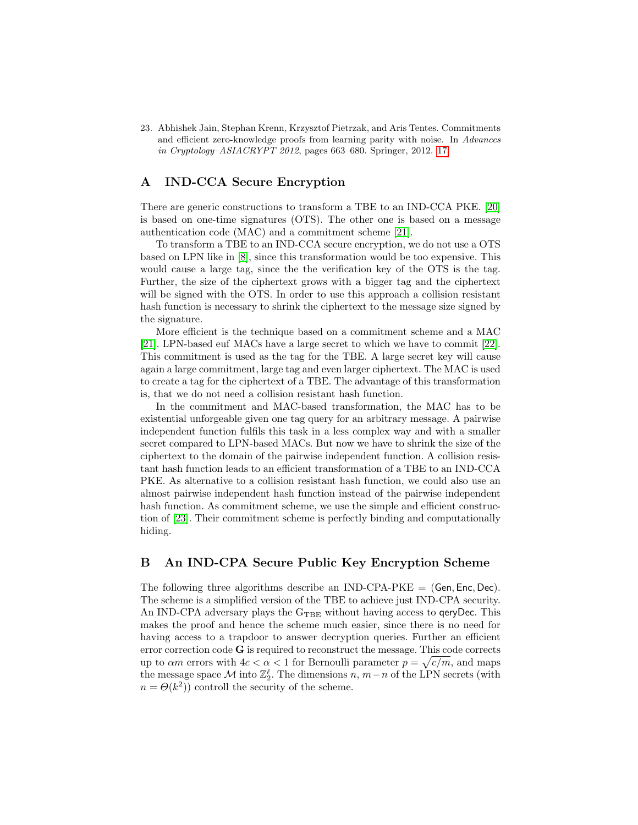<span id="page-16-2"></span><span id="page-16-1"></span>23. Abhishek Jain, Stephan Krenn, Krzysztof Pietrzak, and Aris Tentes. Commitments and efficient zero-knowledge proofs from learning parity with noise. In Advances in Cryptology–ASIACRYPT 2012, pages 663–680. Springer, 2012. [17](#page-16-1)

# <span id="page-16-0"></span>A IND-CCA Secure Encryption

There are generic constructions to transform a TBE to an IND-CCA PKE. [\[20\]](#page-15-10) is based on one-time signatures (OTS). The other one is based on a message authentication code (MAC) and a commitment scheme [\[21\]](#page-15-11).

To transform a TBE to an IND-CCA secure encryption, we do not use a OTS based on LPN like in [\[8\]](#page-14-7), since this transformation would be too expensive. This would cause a large tag, since the the verification key of the OTS is the tag. Further, the size of the ciphertext grows with a bigger tag and the ciphertext will be signed with the OTS. In order to use this approach a collision resistant hash function is necessary to shrink the ciphertext to the message size signed by the signature.

More efficient is the technique based on a commitment scheme and a MAC [\[21\]](#page-15-11). LPN-based euf MACs have a large secret to which we have to commit [\[22\]](#page-15-12). This commitment is used as the tag for the TBE. A large secret key will cause again a large commitment, large tag and even larger ciphertext. The MAC is used to create a tag for the ciphertext of a TBE. The advantage of this transformation is, that we do not need a collision resistant hash function.

In the commitment and MAC-based transformation, the MAC has to be existential unforgeable given one tag query for an arbitrary message. A pairwise independent function fulfils this task in a less complex way and with a smaller secret compared to LPN-based MACs. But now we have to shrink the size of the ciphertext to the domain of the pairwise independent function. A collision resistant hash function leads to an efficient transformation of a TBE to an IND-CCA PKE. As alternative to a collision resistant hash function, we could also use an almost pairwise independent hash function instead of the pairwise independent hash function. As commitment scheme, we use the simple and efficient construction of [\[23\]](#page-16-2). Their commitment scheme is perfectly binding and computationally hiding.

# B An IND-CPA Secure Public Key Encryption Scheme

The following three algorithms describe an IND-CPA-PKE  $=$  (Gen, Enc, Dec). The scheme is a simplified version of the TBE to achieve just IND-CPA security. An IND-CPA adversary plays the  $G_{\text{TEE}}$  without having access to **qeryDec**. This makes the proof and hence the scheme much easier, since there is no need for having access to a trapdoor to answer decryption queries. Further an efficient error correction code  $G$  is required to reconstruct the message. This code corrects up to  $\alpha m$  errors with  $4c < \alpha < 1$  for Bernoulli parameter  $p = \sqrt{c/m}$ , and maps the message space  $\mathcal M$  into  $\mathbb{Z}_2^{\ell}$ . The dimensions  $n, m-n$  of the LPN secrets (with  $n = \Theta(k^2)$  controll the security of the scheme.